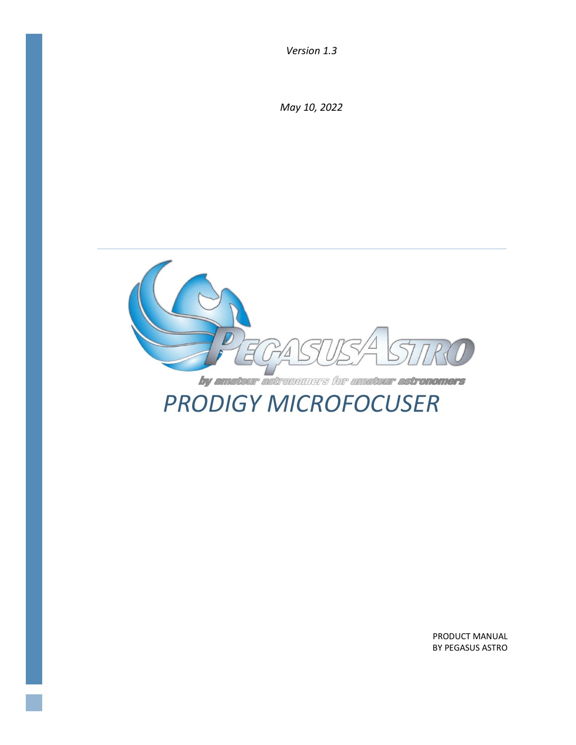*Version 1.3*

*May 10, 2022*



PRODUCT MANUAL BY PEGASUS ASTRO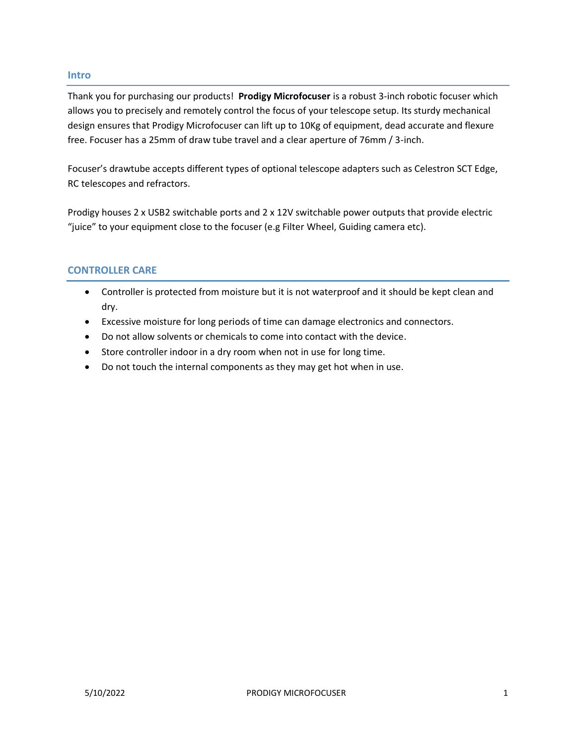#### **Intro**

Thank you for purchasing our products! **Prodigy Microfocuser** is a robust 3-inch robotic focuser which allows you to precisely and remotely control the focus of your telescope setup. Its sturdy mechanical design ensures that Prodigy Microfocuser can lift up to 10Kg of equipment, dead accurate and flexure free. Focuser has a 25mm of draw tube travel and a clear aperture of 76mm / 3-inch.

Focuser's drawtube accepts different types of optional telescope adapters such as Celestron SCT Edge, RC telescopes and refractors.

Prodigy houses 2 x USB2 switchable ports and 2 x 12V switchable power outputs that provide electric "juice" to your equipment close to the focuser (e.g Filter Wheel, Guiding camera etc).

# **CONTROLLER CARE**

- Controller is protected from moisture but it is not waterproof and it should be kept clean and dry.
- Excessive moisture for long periods of time can damage electronics and connectors.
- Do not allow solvents or chemicals to come into contact with the device.
- Store controller indoor in a dry room when not in use for long time.
- Do not touch the internal components as they may get hot when in use.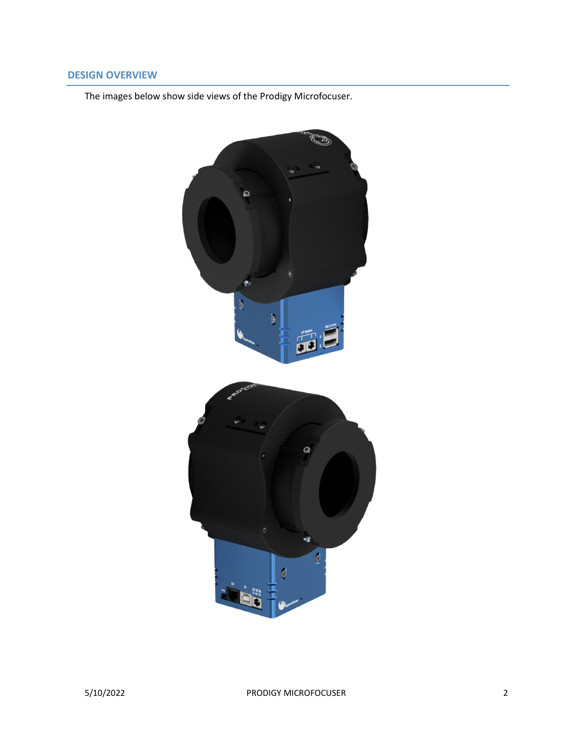# **DESIGN OVERVIEW**

The images below show side views of the Prodigy Microfocuser.

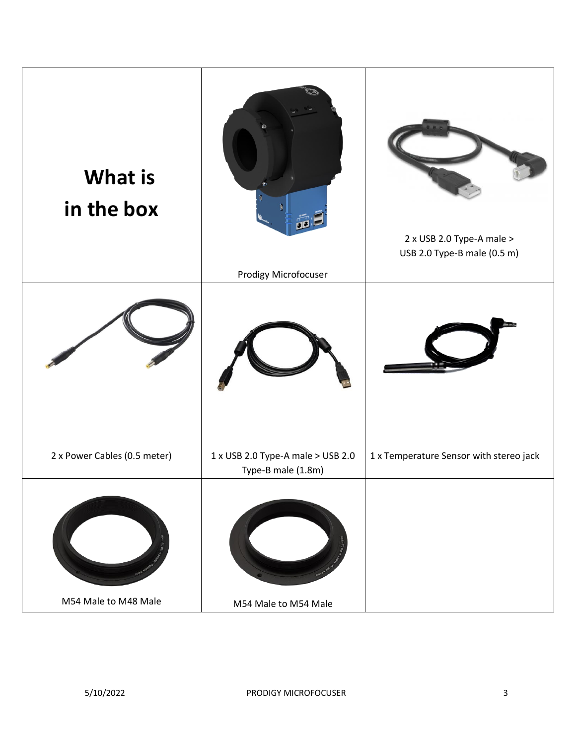| <b>What is</b><br>in the box                         | Prodigy Microfocuser                                             | 2 x USB 2.0 Type-A male ><br>USB 2.0 Type-B male (0.5 m) |
|------------------------------------------------------|------------------------------------------------------------------|----------------------------------------------------------|
|                                                      |                                                                  |                                                          |
|                                                      | Type-B male (1.8m)                                               |                                                          |
| 2 x Power Cables (0.5 meter)<br>M54 Male to M48 Male | $1 \times$ USB 2.0 Type-A male > USB 2.0<br>M54 Male to M54 Male | 1 x Temperature Sensor with stereo jack                  |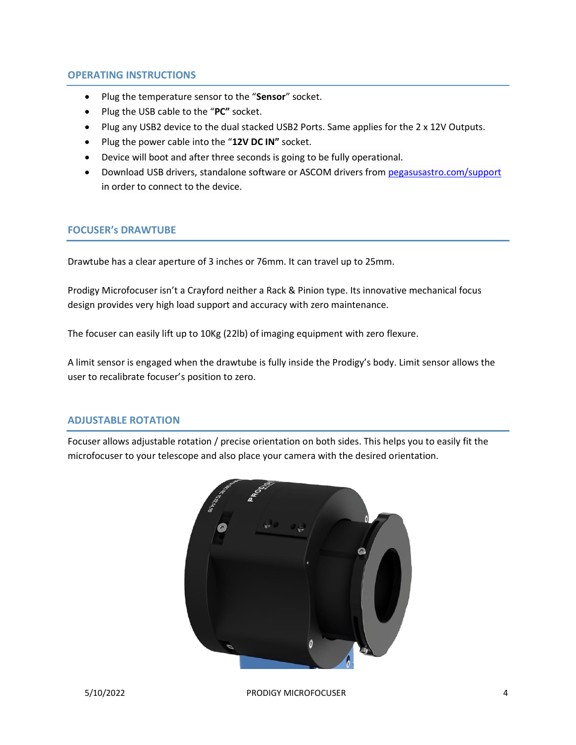#### **OPERATING INSTRUCTIONS**

- Plug the temperature sensor to the "**Sensor**" socket.
- Plug the USB cable to the "**PC"** socket.
- Plug any USB2 device to the dual stacked USB2 Ports. Same applies for the 2 x 12V Outputs.
- Plug the power cable into the "**12V DC IN"** socket.
- Device will boot and after three seconds is going to be fully operational.
- Download USB drivers, standalone software or ASCOM drivers from [pegasusastro.com/support](http://pegasusastro.com/support) in order to connect to the device.

#### **FOCUSER's DRAWTUBE**

Drawtube has a clear aperture of 3 inches or 76mm. It can travel up to 25mm.

Prodigy Microfocuser isn't a Crayford neither a Rack & Pinion type. Its innovative mechanical focus design provides very high load support and accuracy with zero maintenance.

The focuser can easily lift up to 10Kg (22lb) of imaging equipment with zero flexure.

A limit sensor is engaged when the drawtube is fully inside the Prodigy's body. Limit sensor allows the user to recalibrate focuser's position to zero.

#### **ADJUSTABLE ROTATION**

Focuser allows adjustable rotation / precise orientation on both sides. This helps you to easily fit the microfocuser to your telescope and also place your camera with the desired orientation.

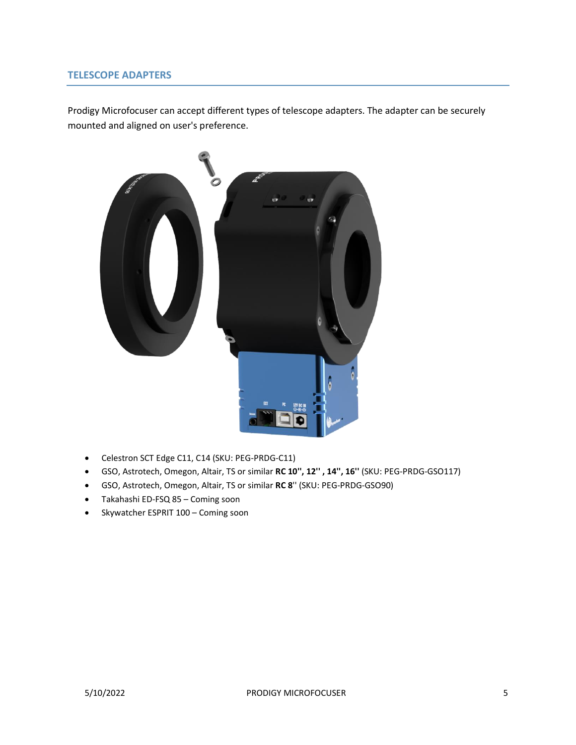### **TELESCOPE ADAPTERS**

Prodigy Microfocuser can accept different types of telescope adapters. The adapter can be securely mounted and aligned on user's preference.



- Celestron SCT Edge C11, C14 (SKU: PEG-PRDG-C11)
- GSO, Astrotech, Omegon, Altair, TS or similar **RC 10'', 12'' , 14'', 16''** (SKU: PEG-PRDG-GSO117)
- GSO, Astrotech, Omegon, Altair, TS or similar **RC 8**'' (SKU: PEG-PRDG-GSO90)
- Takahashi ED-FSQ 85 Coming soon
- Skywatcher ESPRIT 100 Coming soon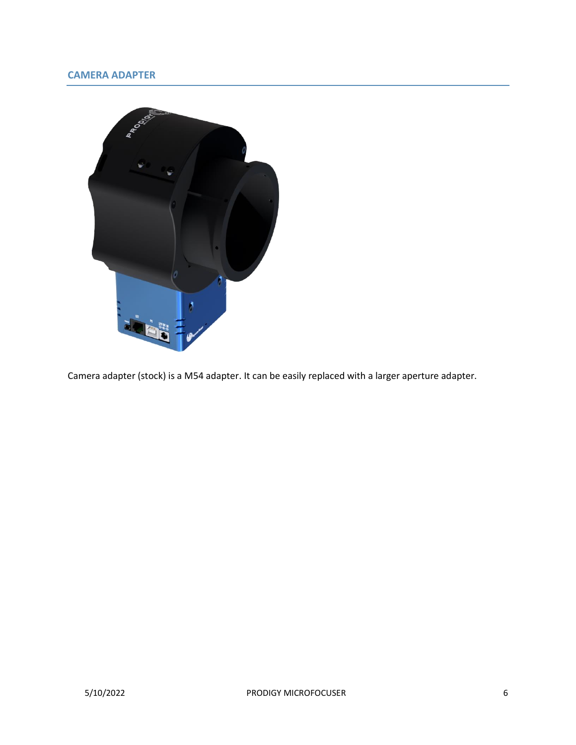# **CAMERA ADAPTER**



Camera adapter (stock) is a M54 adapter. It can be easily replaced with a larger aperture adapter.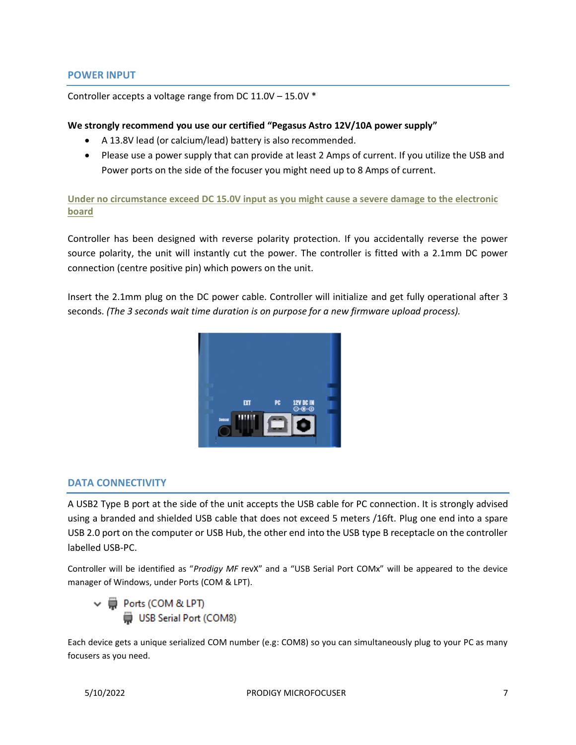#### **POWER INPUT**

Controller accepts a voltage range from DC 11.0V – 15.0V \*

#### **We strongly recommend you use our certified "Pegasus Astro 12V/10A power supply"**

- A 13.8V lead (or calcium/lead) battery is also recommended.
- Please use a power supply that can provide at least 2 Amps of current. If you utilize the USB and Power ports on the side of the focuser you might need up to 8 Amps of current.

**Under no circumstance exceed DC 15.0V input as you might cause a severe damage to the electronic board**

Controller has been designed with reverse polarity protection. If you accidentally reverse the power source polarity, the unit will instantly cut the power. The controller is fitted with a 2.1mm DC power connection (centre positive pin) which powers on the unit.

Insert the 2.1mm plug on the DC power cable. Controller will initialize and get fully operational after 3 seconds. *(The 3 seconds wait time duration is on purpose for a new firmware upload process).*



#### **DATA CONNECTIVITY**

A USB2 Type B port at the side of the unit accepts the USB cable for PC connection. It is strongly advised using a branded and shielded USB cable that does not exceed 5 meters /16ft. Plug one end into a spare USB 2.0 port on the computer or USB Hub, the other end into the USB type B receptacle on the controller labelled USB-PC.

Controller will be identified as "*Prodigy MF* revX" and a "USB Serial Port COMx" will be appeared to the device manager of Windows, under Ports (COM & LPT).



Each device gets a unique serialized COM number (e.g: COM8) so you can simultaneously plug to your PC as many focusers as you need.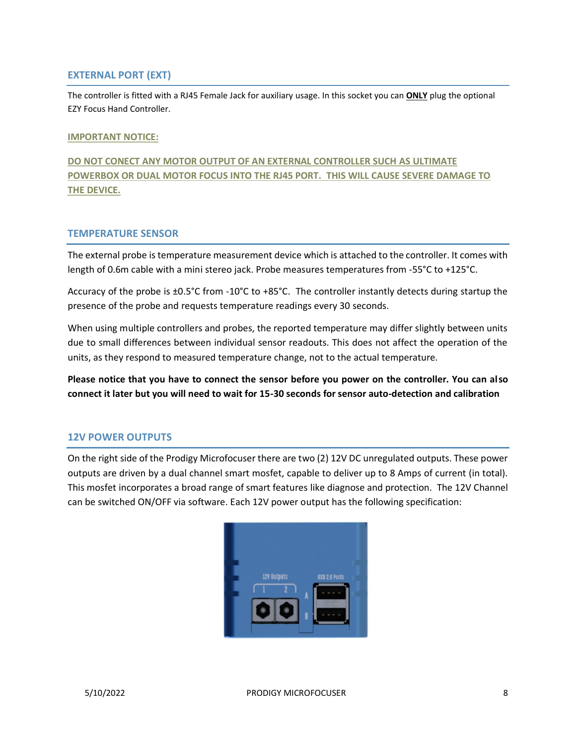## **EXTERNAL PORT (EXT)**

The controller is fitted with a RJ45 Female Jack for auxiliary usage. In this socket you can **ONLY** plug the optional EZY Focus Hand Controller.

#### **IMPORTANT NOTICE:**

**DO NOT CONECT ANY MOTOR OUTPUT OF AN EXTERNAL CONTROLLER SUCH AS ULTIMATE POWERBOX OR DUAL MOTOR FOCUS INTO THE RJ45 PORT. THIS WILL CAUSE SEVERE DAMAGE TO THE DEVICE.**

#### **TEMPERATURE SENSOR**

The external probe is temperature measurement device which is attached to the controller. It comes with length of 0.6m cable with a mini stereo jack. Probe measures temperatures from -55°C to +125°C.

Accuracy of the probe is ±0.5°C from -10°C to +85°C. The controller instantly detects during startup the presence of the probe and requests temperature readings every 30 seconds.

When using multiple controllers and probes, the reported temperature may differ slightly between units due to small differences between individual sensor readouts. This does not affect the operation of the units, as they respond to measured temperature change, not to the actual temperature.

**Please notice that you have to connect the sensor before you power on the controller. You can also connect it later but you will need to wait for 15-30 seconds for sensor auto-detection and calibration**

# **12V POWER OUTPUTS**

On the right side of the Prodigy Microfocuser there are two (2) 12V DC unregulated outputs. These power outputs are driven by a dual channel smart mosfet, capable to deliver up to 8 Amps of current (in total). This mosfet incorporates a broad range of smart features like diagnose and protection. The 12V Channel can be switched ON/OFF via software. Each 12V power output has the following specification:

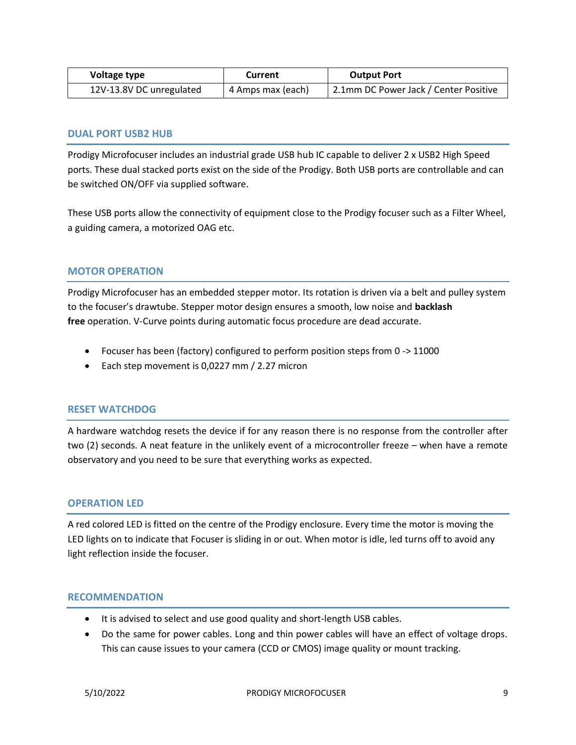| Voltage type             | Current           | <b>Output Port</b>                    |
|--------------------------|-------------------|---------------------------------------|
| 12V-13.8V DC unregulated | 4 Amps max (each) | 2.1mm DC Power Jack / Center Positive |

## **DUAL PORT USB2 HUB**

Prodigy Microfocuser includes an industrial grade USB hub IC capable to deliver 2 x USB2 High Speed ports. These dual stacked ports exist on the side of the Prodigy. Both USB ports are controllable and can be switched ON/OFF via supplied software.

These USB ports allow the connectivity of equipment close to the Prodigy focuser such as a Filter Wheel, a guiding camera, a motorized OAG etc.

## **MOTOR OPERATION**

Prodigy Microfocuser has an embedded stepper motor. Its rotation is driven via a belt and pulley system to the focuser's drawtube. Stepper motor design ensures a smooth, low noise and **backlash free** operation. V-Curve points during automatic focus procedure are dead accurate.

- Focuser has been (factory) configured to perform position steps from 0 -> 11000
- Each step movement is 0,0227 mm / 2.27 micron

#### **RESET WATCHDOG**

A hardware watchdog resets the device if for any reason there is no response from the controller after two (2) seconds. A neat feature in the unlikely event of a microcontroller freeze – when have a remote observatory and you need to be sure that everything works as expected.

#### **OPERATION LED**

A red colored LED is fitted on the centre of the Prodigy enclosure. Every time the motor is moving the LED lights on to indicate that Focuser is sliding in or out. When motor is idle, led turns off to avoid any light reflection inside the focuser.

#### **RECOMMENDATION**

- It is advised to select and use good quality and short-length USB cables.
- Do the same for power cables. Long and thin power cables will have an effect of voltage drops. This can cause issues to your camera (CCD or CMOS) image quality or mount tracking.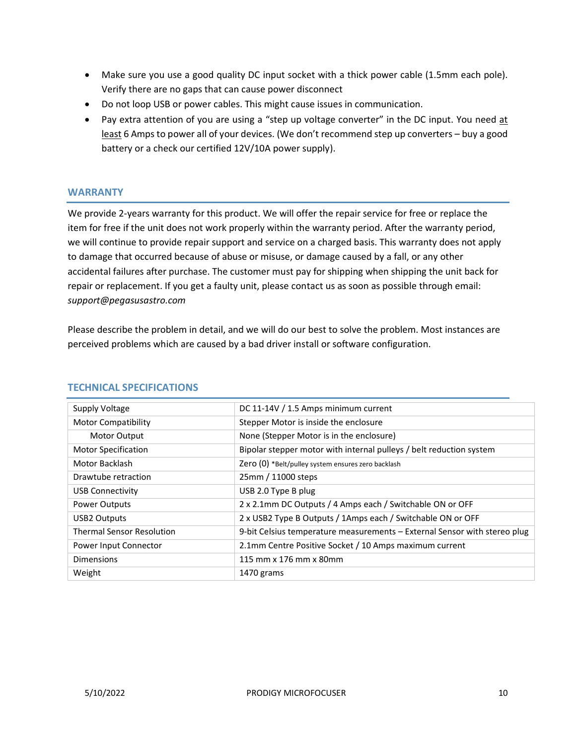- Make sure you use a good quality DC input socket with a thick power cable (1.5mm each pole). Verify there are no gaps that can cause power disconnect
- Do not loop USB or power cables. This might cause issues in communication.
- Pay extra attention of you are using a "step up voltage converter" in the DC input. You need at least 6 Amps to power all of your devices. (We don't recommend step up converters – buy a good battery or a check our certified 12V/10A power supply).

## **WARRANTY**

We provide 2-years warranty for this product. We will offer the repair service for free or replace the item for free if the unit does not work properly within the warranty period. After the warranty period, we will continue to provide repair support and service on a charged basis. This warranty does not apply to damage that occurred because of abuse or misuse, or damage caused by a fall, or any other accidental failures after purchase. The customer must pay for shipping when shipping the unit back for repair or replacement. If you get a faulty unit, please contact us as soon as possible through email: *support@pegasusastro.com*

Please describe the problem in detail, and we will do our best to solve the problem. Most instances are perceived problems which are caused by a bad driver install or software configuration.

| Supply Voltage                   | DC 11-14V / 1.5 Amps minimum current                                      |  |
|----------------------------------|---------------------------------------------------------------------------|--|
| <b>Motor Compatibility</b>       | Stepper Motor is inside the enclosure                                     |  |
| <b>Motor Output</b>              | None (Stepper Motor is in the enclosure)                                  |  |
| <b>Motor Specification</b>       | Bipolar stepper motor with internal pulleys / belt reduction system       |  |
| Motor Backlash                   | Zero (0) *Belt/pulley system ensures zero backlash                        |  |
| Drawtube retraction              | 25mm / 11000 steps                                                        |  |
| <b>USB Connectivity</b>          | USB 2.0 Type B plug                                                       |  |
| Power Outputs                    | 2 x 2.1mm DC Outputs / 4 Amps each / Switchable ON or OFF                 |  |
| <b>USB2 Outputs</b>              | 2 x USB2 Type B Outputs / 1Amps each / Switchable ON or OFF               |  |
| <b>Thermal Sensor Resolution</b> | 9-bit Celsius temperature measurements - External Sensor with stereo plug |  |
| Power Input Connector            | 2.1mm Centre Positive Socket / 10 Amps maximum current                    |  |
| <b>Dimensions</b>                | 115 mm x 176 mm x 80mm                                                    |  |
| Weight                           | 1470 grams                                                                |  |

#### **TECHNICAL SPECIFICATIONS**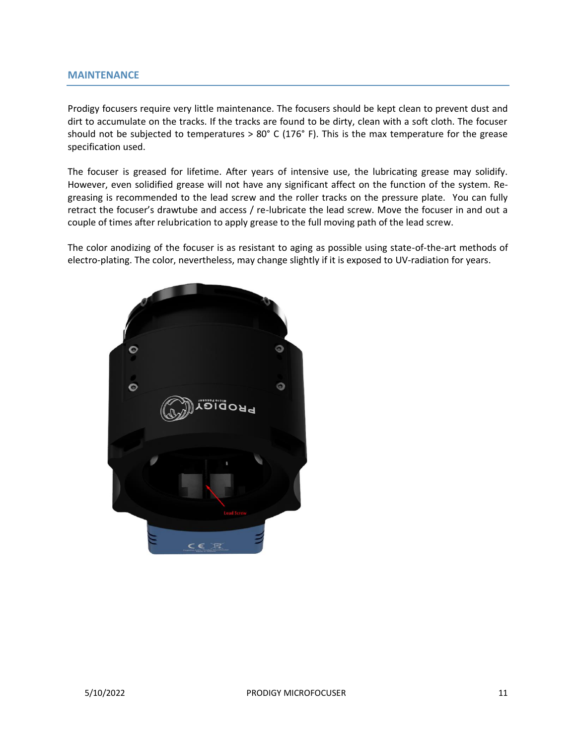#### **MAINTENANCE**

Prodigy focusers require very little maintenance. The focusers should be kept clean to prevent dust and dirt to accumulate on the tracks. If the tracks are found to be dirty, clean with a soft cloth. The focuser should not be subjected to temperatures > 80° C (176° F). This is the max temperature for the grease specification used.

The focuser is greased for lifetime. After years of intensive use, the lubricating grease may solidify. However, even solidified grease will not have any significant affect on the function of the system. Regreasing is recommended to the lead screw and the roller tracks on the pressure plate. You can fully retract the focuser's drawtube and access / re-lubricate the lead screw. Move the focuser in and out a couple of times after relubrication to apply grease to the full moving path of the lead screw.

The color anodizing of the focuser is as resistant to aging as possible using state-of-the-art methods of electro-plating. The color, nevertheless, may change slightly if it is exposed to UV-radiation for years.

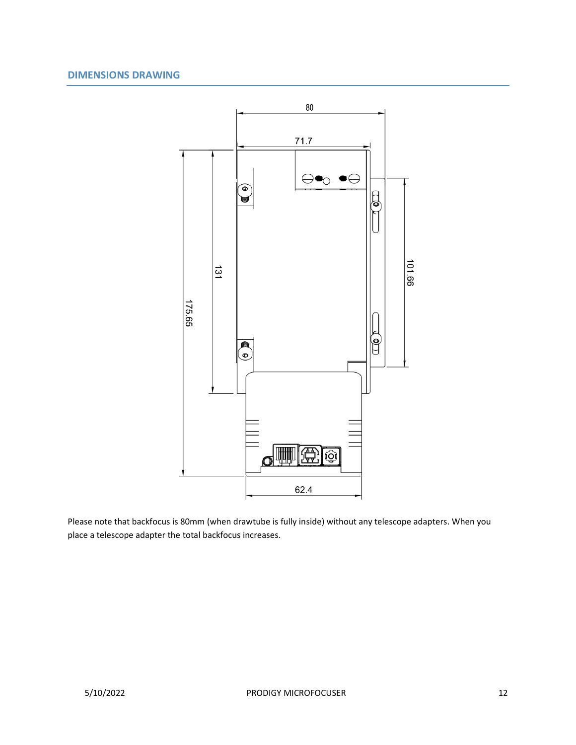# **DIMENSIONS DRAWING**



Please note that backfocus is 80mm (when drawtube is fully inside) without any telescope adapters. When you place a telescope adapter the total backfocus increases.